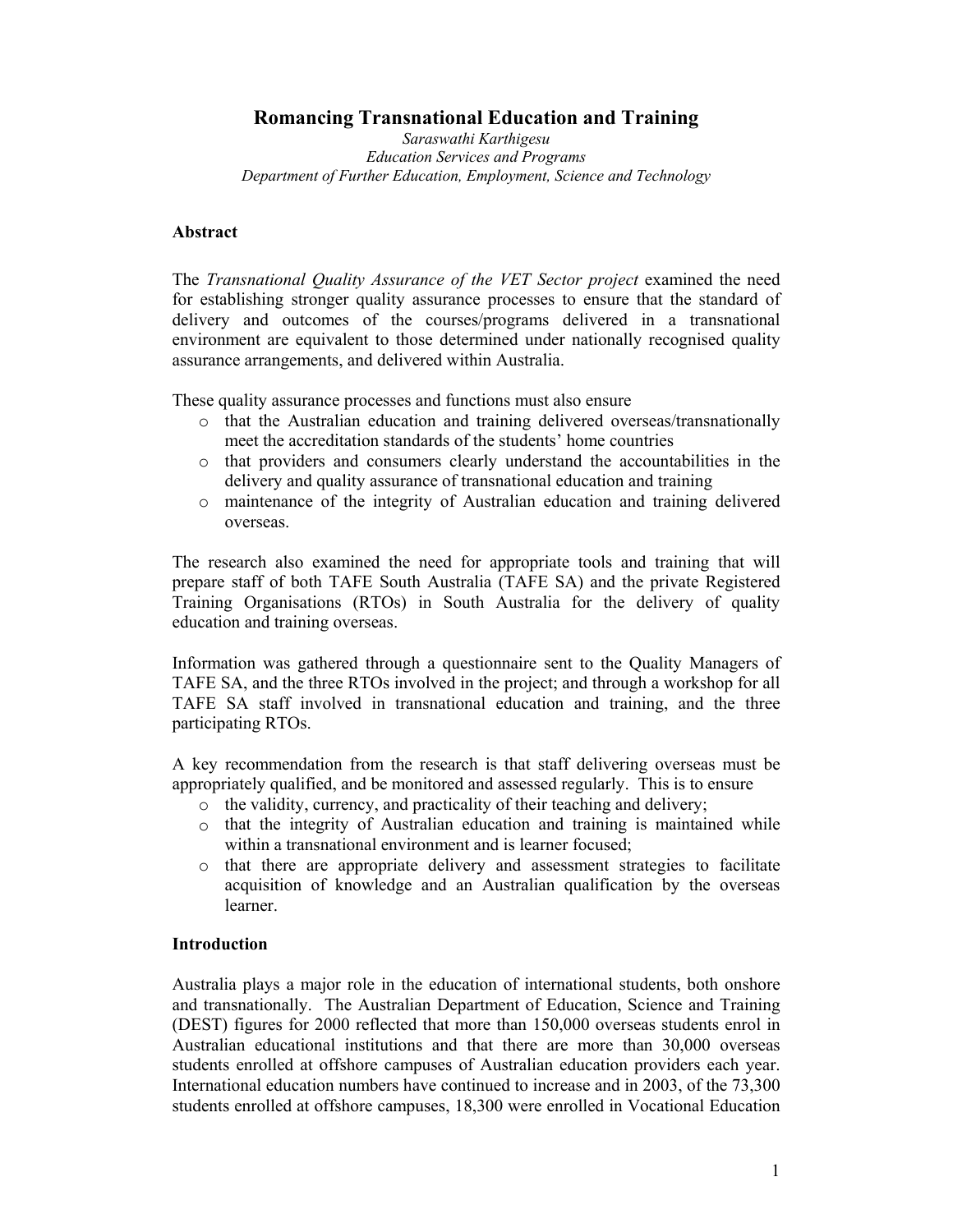**Romancing Transnational Education and Training**

*Saraswathi Karthigesu Education Services and Programs Department of Further Education, Employment, Science and Technology* 

## **Abstract**

The *Transnational Quality Assurance of the VET Sector project* examined the need for establishing stronger quality assurance processes to ensure that the standard of delivery and outcomes of the courses/programs delivered in a transnational environment are equivalent to those determined under nationally recognised quality assurance arrangements, and delivered within Australia.

These quality assurance processes and functions must also ensure

- o that the Australian education and training delivered overseas/transnationally meet the accreditation standards of the students' home countries
- o that providers and consumers clearly understand the accountabilities in the delivery and quality assurance of transnational education and training
- o maintenance of the integrity of Australian education and training delivered overseas.

The research also examined the need for appropriate tools and training that will prepare staff of both TAFE South Australia (TAFE SA) and the private Registered Training Organisations (RTOs) in South Australia for the delivery of quality education and training overseas.

Information was gathered through a questionnaire sent to the Quality Managers of TAFE SA, and the three RTOs involved in the project; and through a workshop for all TAFE SA staff involved in transnational education and training, and the three participating RTOs.

A key recommendation from the research is that staff delivering overseas must be appropriately qualified, and be monitored and assessed regularly. This is to ensure

- o the validity, currency, and practicality of their teaching and delivery;
- $\circ$  that the integrity of Australian education and training is maintained while within a transnational environment and is learner focused;
- o that there are appropriate delivery and assessment strategies to facilitate acquisition of knowledge and an Australian qualification by the overseas learner.

## **Introduction**

Australia plays a major role in the education of international students, both onshore and transnationally. The Australian Department of Education, Science and Training (DEST) figures for 2000 reflected that more than 150,000 overseas students enrol in Australian educational institutions and that there are more than 30,000 overseas students enrolled at offshore campuses of Australian education providers each year. International education numbers have continued to increase and in 2003, of the 73,300 students enrolled at offshore campuses, 18,300 were enrolled in Vocational Education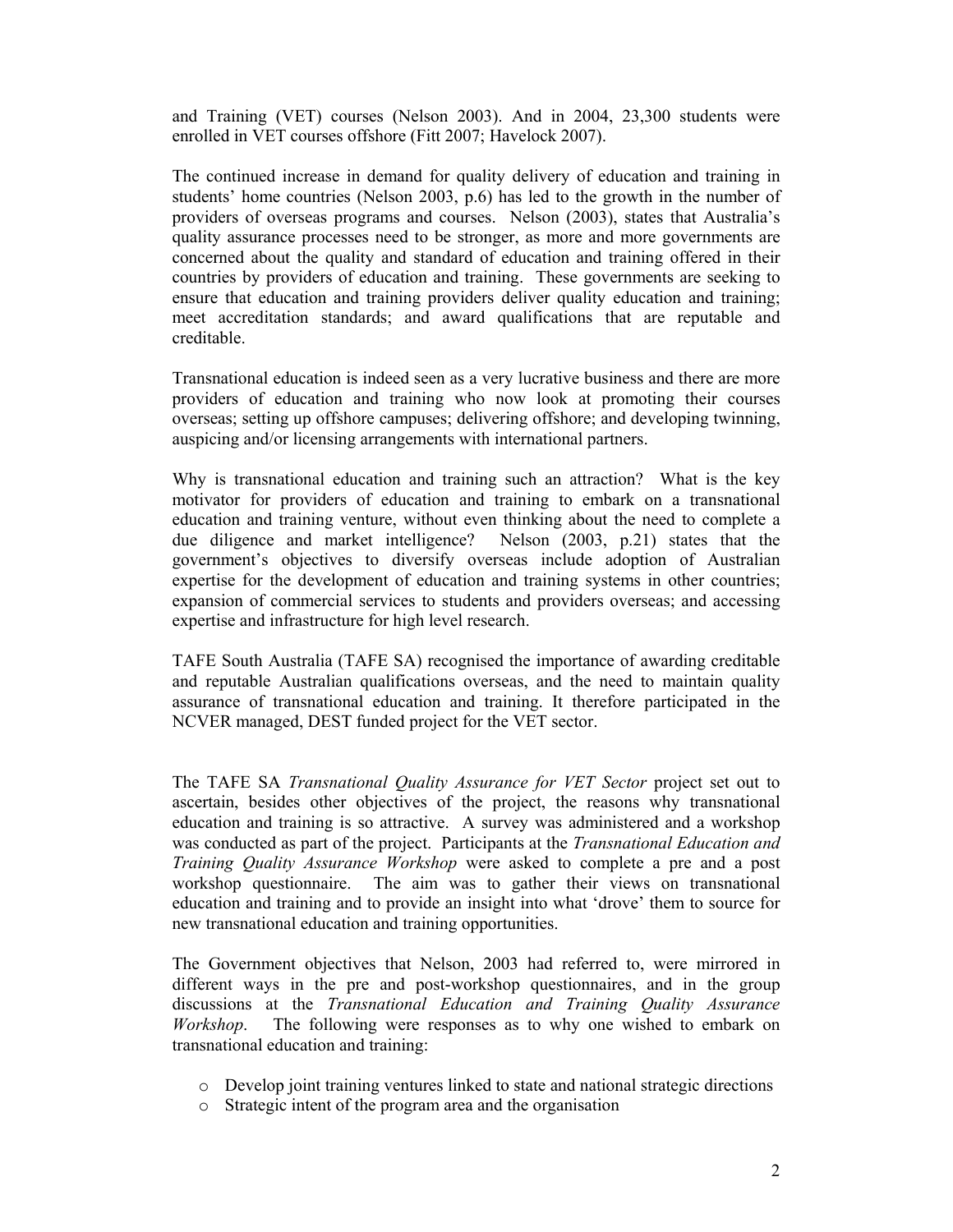and Training (VET) courses (Nelson 2003). And in 2004, 23,300 students were enrolled in VET courses offshore (Fitt 2007; Havelock 2007).

The continued increase in demand for quality delivery of education and training in students' home countries (Nelson 2003, p.6) has led to the growth in the number of providers of overseas programs and courses. Nelson (2003), states that Australia's quality assurance processes need to be stronger, as more and more governments are concerned about the quality and standard of education and training offered in their countries by providers of education and training. These governments are seeking to ensure that education and training providers deliver quality education and training; meet accreditation standards; and award qualifications that are reputable and creditable.

Transnational education is indeed seen as a very lucrative business and there are more providers of education and training who now look at promoting their courses overseas; setting up offshore campuses; delivering offshore; and developing twinning, auspicing and/or licensing arrangements with international partners.

Why is transnational education and training such an attraction? What is the key motivator for providers of education and training to embark on a transnational education and training venture, without even thinking about the need to complete a due diligence and market intelligence? Nelson (2003, p.21) states that the government's objectives to diversify overseas include adoption of Australian expertise for the development of education and training systems in other countries; expansion of commercial services to students and providers overseas; and accessing expertise and infrastructure for high level research.

TAFE South Australia (TAFE SA) recognised the importance of awarding creditable and reputable Australian qualifications overseas, and the need to maintain quality assurance of transnational education and training. It therefore participated in the NCVER managed, DEST funded project for the VET sector.

The TAFE SA *Transnational Quality Assurance for VET Sector* project set out to ascertain, besides other objectives of the project, the reasons why transnational education and training is so attractive. A survey was administered and a workshop was conducted as part of the project. Participants at the *Transnational Education and Training Quality Assurance Workshop* were asked to complete a pre and a post workshop questionnaire. The aim was to gather their views on transnational education and training and to provide an insight into what 'drove' them to source for new transnational education and training opportunities.

The Government objectives that Nelson, 2003 had referred to, were mirrored in different ways in the pre and post-workshop questionnaires, and in the group discussions at the *Transnational Education and Training Quality Assurance Workshop*. The following were responses as to why one wished to embark on transnational education and training:

- o Develop joint training ventures linked to state and national strategic directions
- o Strategic intent of the program area and the organisation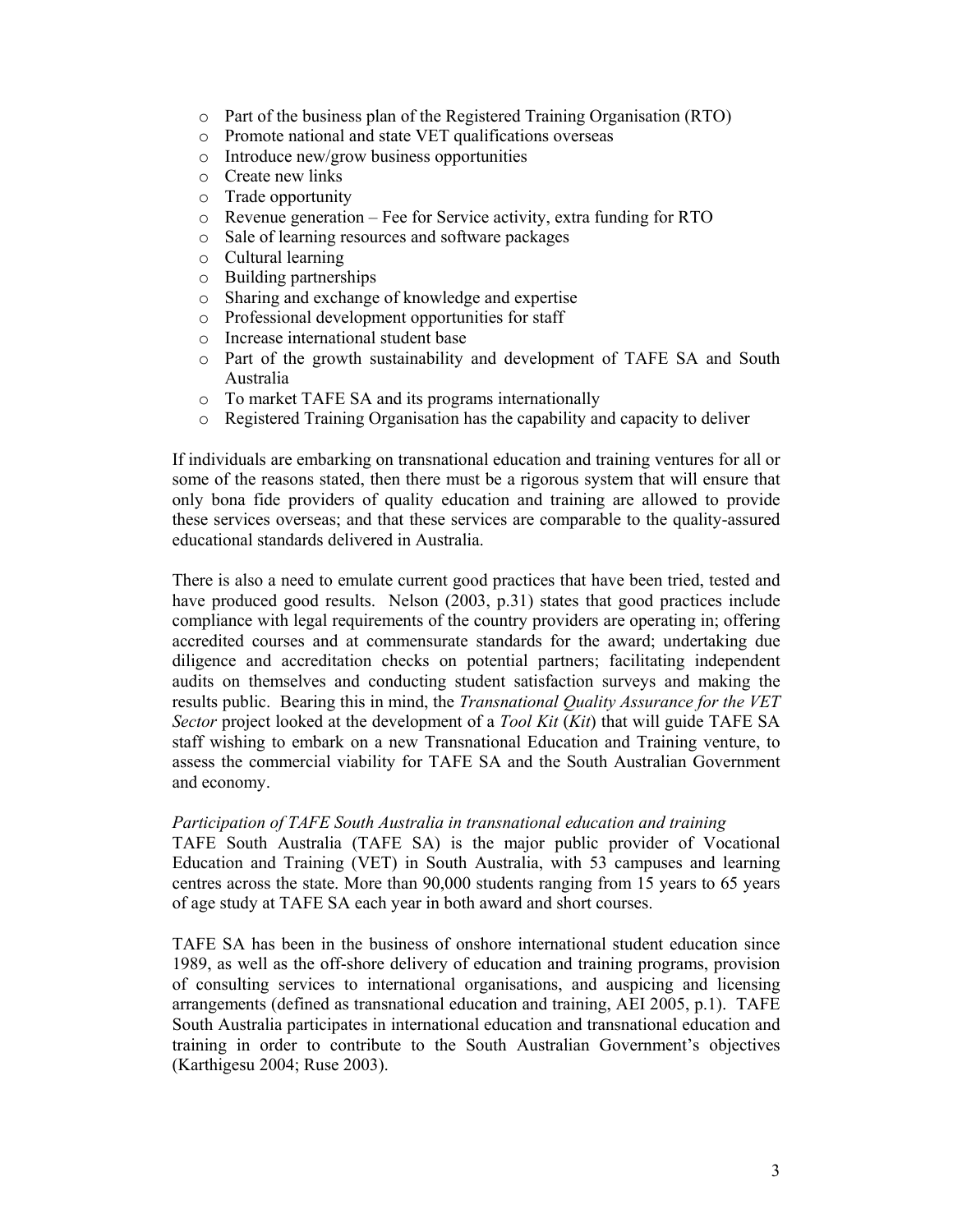- o Part of the business plan of the Registered Training Organisation (RTO)
- o Promote national and state VET qualifications overseas
- o Introduce new/grow business opportunities
- o Create new links
- o Trade opportunity
- o Revenue generation Fee for Service activity, extra funding for RTO
- o Sale of learning resources and software packages
- o Cultural learning
- o Building partnerships
- o Sharing and exchange of knowledge and expertise
- o Professional development opportunities for staff
- o Increase international student base
- o Part of the growth sustainability and development of TAFE SA and South Australia
- o To market TAFE SA and its programs internationally
- o Registered Training Organisation has the capability and capacity to deliver

If individuals are embarking on transnational education and training ventures for all or some of the reasons stated, then there must be a rigorous system that will ensure that only bona fide providers of quality education and training are allowed to provide these services overseas; and that these services are comparable to the quality-assured educational standards delivered in Australia.

There is also a need to emulate current good practices that have been tried, tested and have produced good results. Nelson (2003, p.31) states that good practices include compliance with legal requirements of the country providers are operating in; offering accredited courses and at commensurate standards for the award; undertaking due diligence and accreditation checks on potential partners; facilitating independent audits on themselves and conducting student satisfaction surveys and making the results public. Bearing this in mind, the *Transnational Quality Assurance for the VET Sector* project looked at the development of a *Tool Kit* (*Kit*) that will guide TAFE SA staff wishing to embark on a new Transnational Education and Training venture, to assess the commercial viability for TAFE SA and the South Australian Government and economy.

### *Participation of TAFE South Australia in transnational education and training*

TAFE South Australia (TAFE SA) is the major public provider of Vocational Education and Training (VET) in South Australia, with 53 campuses and learning centres across the state. More than 90,000 students ranging from 15 years to 65 years of age study at TAFE SA each year in both award and short courses.

TAFE SA has been in the business of onshore international student education since 1989, as well as the off-shore delivery of education and training programs, provision of consulting services to international organisations, and auspicing and licensing arrangements (defined as transnational education and training, AEI 2005, p.1). TAFE South Australia participates in international education and transnational education and training in order to contribute to the South Australian Government's objectives (Karthigesu 2004; Ruse 2003).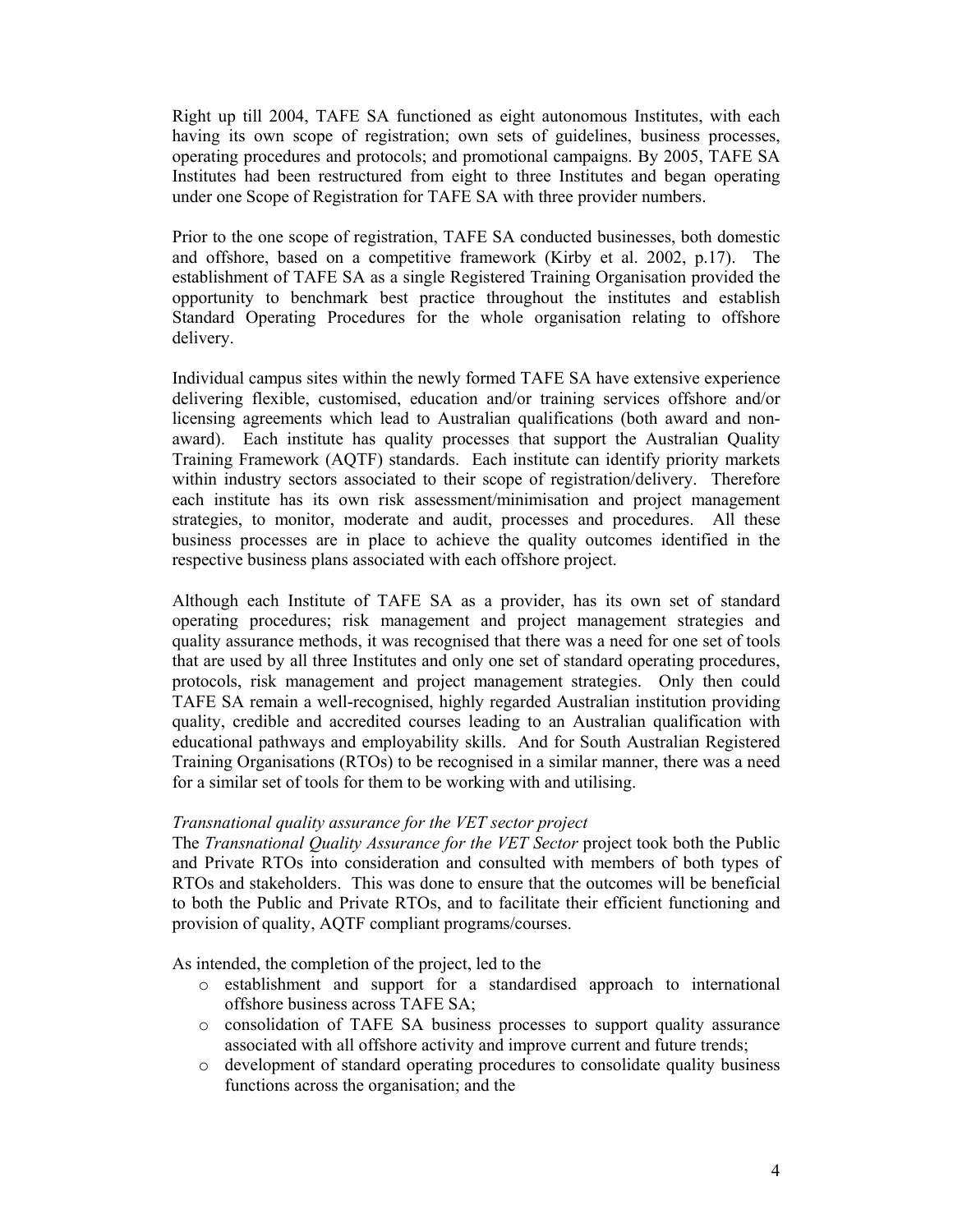Right up till 2004, TAFE SA functioned as eight autonomous Institutes, with each having its own scope of registration; own sets of guidelines, business processes, operating procedures and protocols; and promotional campaigns. By 2005, TAFE SA Institutes had been restructured from eight to three Institutes and began operating under one Scope of Registration for TAFE SA with three provider numbers.

Prior to the one scope of registration, TAFE SA conducted businesses, both domestic and offshore, based on a competitive framework (Kirby et al. 2002, p.17). The establishment of TAFE SA as a single Registered Training Organisation provided the opportunity to benchmark best practice throughout the institutes and establish Standard Operating Procedures for the whole organisation relating to offshore delivery.

Individual campus sites within the newly formed TAFE SA have extensive experience delivering flexible, customised, education and/or training services offshore and/or licensing agreements which lead to Australian qualifications (both award and nonaward). Each institute has quality processes that support the Australian Quality Training Framework (AQTF) standards. Each institute can identify priority markets within industry sectors associated to their scope of registration/delivery. Therefore each institute has its own risk assessment/minimisation and project management strategies, to monitor, moderate and audit, processes and procedures. All these business processes are in place to achieve the quality outcomes identified in the respective business plans associated with each offshore project.

Although each Institute of TAFE SA as a provider, has its own set of standard operating procedures; risk management and project management strategies and quality assurance methods, it was recognised that there was a need for one set of tools that are used by all three Institutes and only one set of standard operating procedures, protocols, risk management and project management strategies. Only then could TAFE SA remain a well-recognised, highly regarded Australian institution providing quality, credible and accredited courses leading to an Australian qualification with educational pathways and employability skills. And for South Australian Registered Training Organisations (RTOs) to be recognised in a similar manner, there was a need for a similar set of tools for them to be working with and utilising.

# *Transnational quality assurance for the VET sector project*

The *Transnational Quality Assurance for the VET Sector* project took both the Public and Private RTOs into consideration and consulted with members of both types of RTOs and stakeholders. This was done to ensure that the outcomes will be beneficial to both the Public and Private RTOs, and to facilitate their efficient functioning and provision of quality, AQTF compliant programs/courses.

As intended, the completion of the project, led to the

- o establishment and support for a standardised approach to international offshore business across TAFE SA;
- o consolidation of TAFE SA business processes to support quality assurance associated with all offshore activity and improve current and future trends;
- o development of standard operating procedures to consolidate quality business functions across the organisation; and the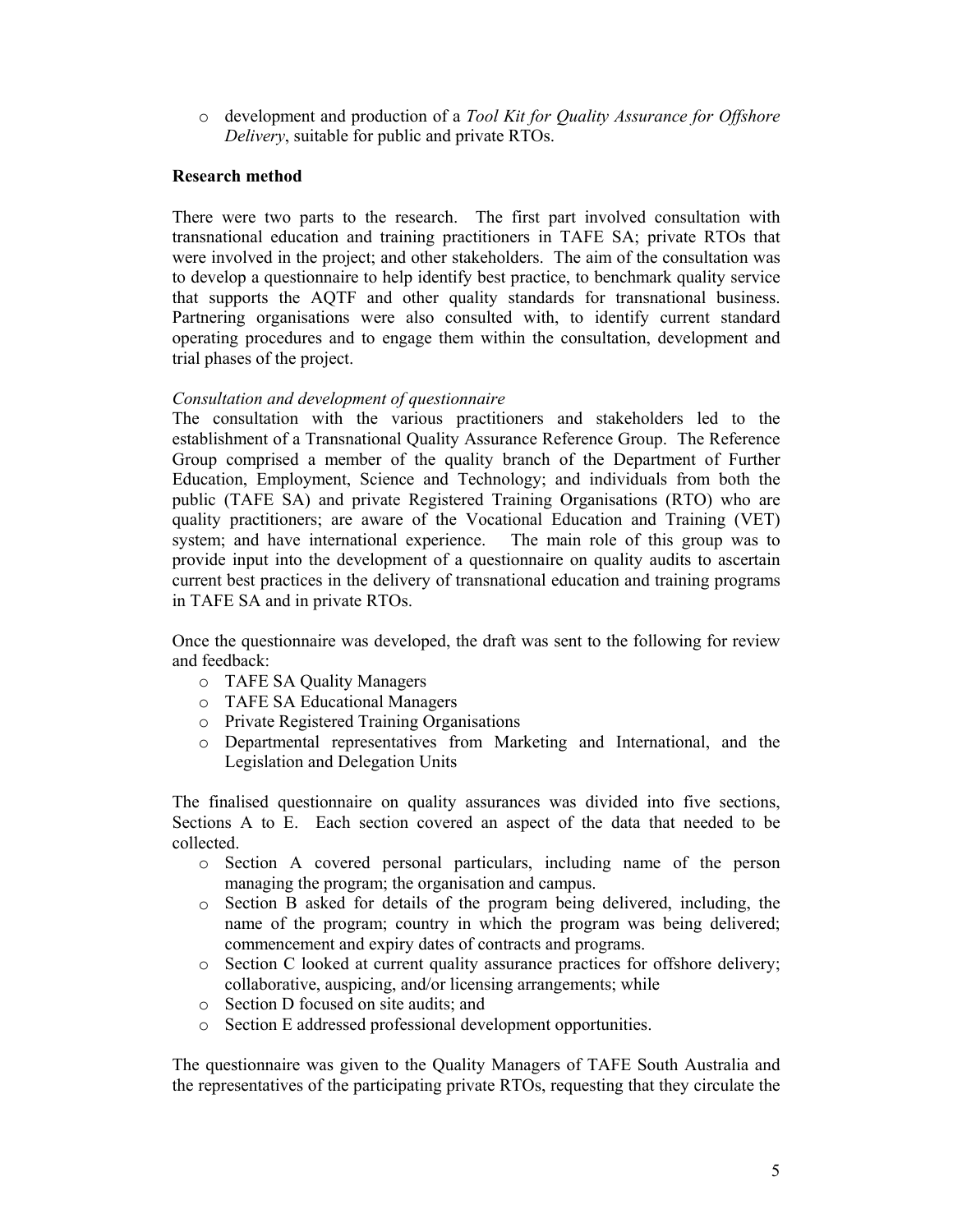o development and production of a *Tool Kit for Quality Assurance for Offshore Delivery*, suitable for public and private RTOs.

# **Research method**

There were two parts to the research. The first part involved consultation with transnational education and training practitioners in TAFE SA; private RTOs that were involved in the project; and other stakeholders. The aim of the consultation was to develop a questionnaire to help identify best practice, to benchmark quality service that supports the AQTF and other quality standards for transnational business. Partnering organisations were also consulted with, to identify current standard operating procedures and to engage them within the consultation, development and trial phases of the project.

# *Consultation and development of questionnaire*

The consultation with the various practitioners and stakeholders led to the establishment of a Transnational Quality Assurance Reference Group. The Reference Group comprised a member of the quality branch of the Department of Further Education, Employment, Science and Technology; and individuals from both the public (TAFE SA) and private Registered Training Organisations (RTO) who are quality practitioners; are aware of the Vocational Education and Training (VET) system; and have international experience. The main role of this group was to provide input into the development of a questionnaire on quality audits to ascertain current best practices in the delivery of transnational education and training programs in TAFE SA and in private RTOs.

Once the questionnaire was developed, the draft was sent to the following for review and feedback:

- o TAFE SA Quality Managers
- o TAFE SA Educational Managers
- o Private Registered Training Organisations
- o Departmental representatives from Marketing and International, and the Legislation and Delegation Units

The finalised questionnaire on quality assurances was divided into five sections, Sections A to E. Each section covered an aspect of the data that needed to be collected.

- o Section A covered personal particulars, including name of the person managing the program; the organisation and campus.
- o Section B asked for details of the program being delivered, including, the name of the program; country in which the program was being delivered; commencement and expiry dates of contracts and programs.
- o Section C looked at current quality assurance practices for offshore delivery; collaborative, auspicing, and/or licensing arrangements; while
- o Section D focused on site audits; and
- o Section E addressed professional development opportunities.

The questionnaire was given to the Quality Managers of TAFE South Australia and the representatives of the participating private RTOs, requesting that they circulate the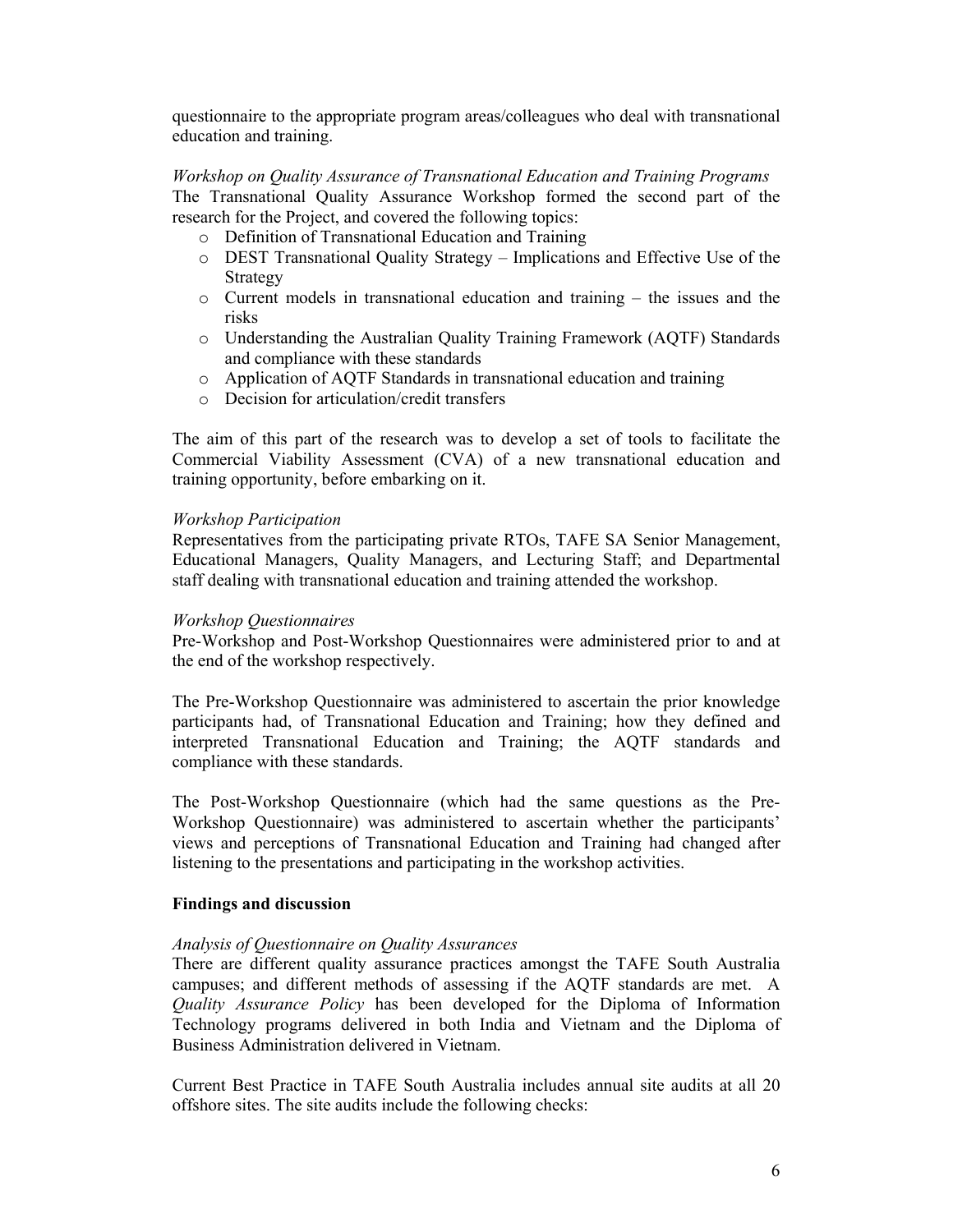questionnaire to the appropriate program areas/colleagues who deal with transnational education and training.

*Workshop on Quality Assurance of Transnational Education and Training Programs* The Transnational Quality Assurance Workshop formed the second part of the research for the Project, and covered the following topics:

- o Definition of Transnational Education and Training
- o DEST Transnational Quality Strategy Implications and Effective Use of the Strategy
- o Current models in transnational education and training the issues and the risks
- o Understanding the Australian Quality Training Framework (AQTF) Standards and compliance with these standards
- o Application of AQTF Standards in transnational education and training
- o Decision for articulation/credit transfers

The aim of this part of the research was to develop a set of tools to facilitate the Commercial Viability Assessment (CVA) of a new transnational education and training opportunity, before embarking on it.

## *Workshop Participation*

Representatives from the participating private RTOs, TAFE SA Senior Management, Educational Managers, Quality Managers, and Lecturing Staff; and Departmental staff dealing with transnational education and training attended the workshop.

### *Workshop Questionnaires*

Pre-Workshop and Post-Workshop Questionnaires were administered prior to and at the end of the workshop respectively.

The Pre-Workshop Questionnaire was administered to ascertain the prior knowledge participants had, of Transnational Education and Training; how they defined and interpreted Transnational Education and Training; the AQTF standards and compliance with these standards.

The Post-Workshop Questionnaire (which had the same questions as the Pre-Workshop Questionnaire) was administered to ascertain whether the participants' views and perceptions of Transnational Education and Training had changed after listening to the presentations and participating in the workshop activities.

## **Findings and discussion**

## *Analysis of Questionnaire on Quality Assurances*

There are different quality assurance practices amongst the TAFE South Australia campuses; and different methods of assessing if the AQTF standards are met. A *Quality Assurance Policy* has been developed for the Diploma of Information Technology programs delivered in both India and Vietnam and the Diploma of Business Administration delivered in Vietnam.

Current Best Practice in TAFE South Australia includes annual site audits at all 20 offshore sites. The site audits include the following checks: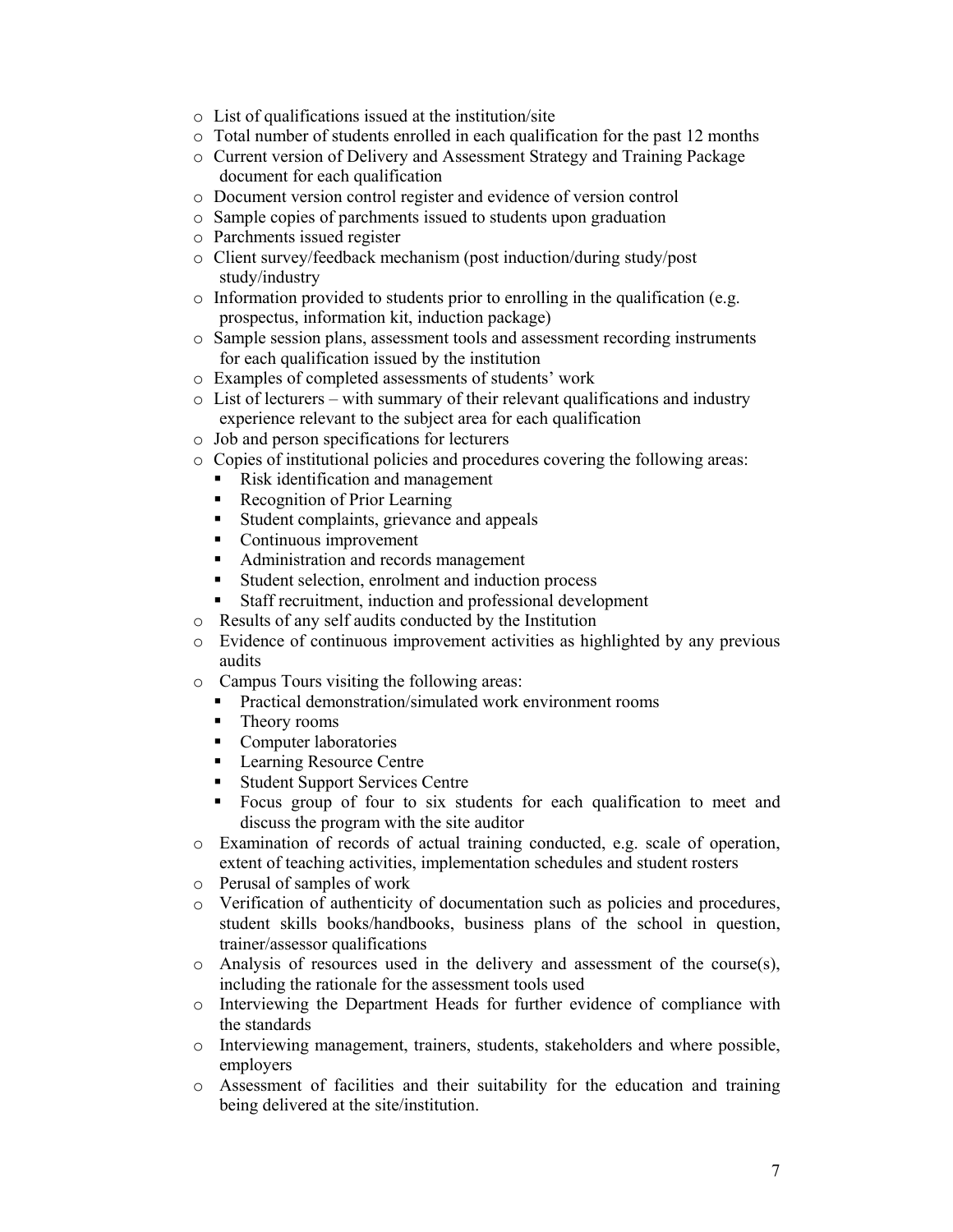- o List of qualifications issued at the institution/site
- o Total number of students enrolled in each qualification for the past 12 months
- o Current version of Delivery and Assessment Strategy and Training Package document for each qualification
- o Document version control register and evidence of version control
- o Sample copies of parchments issued to students upon graduation
- o Parchments issued register
- o Client survey/feedback mechanism (post induction/during study/post study/industry
- o Information provided to students prior to enrolling in the qualification (e.g. prospectus, information kit, induction package)
- o Sample session plans, assessment tools and assessment recording instruments for each qualification issued by the institution
- o Examples of completed assessments of students' work
- o List of lecturers with summary of their relevant qualifications and industry experience relevant to the subject area for each qualification
- o Job and person specifications for lecturers
- o Copies of institutional policies and procedures covering the following areas:
	- Risk identification and management
	- Recognition of Prior Learning
	- Student complaints, grievance and appeals
	- Continuous improvement
	- Administration and records management
	- Student selection, enrolment and induction process
	- Staff recruitment, induction and professional development
- o Results of any self audits conducted by the Institution
- o Evidence of continuous improvement activities as highlighted by any previous audits
- o Campus Tours visiting the following areas:
	- **Practical demonstration/simulated work environment rooms**
	- Theory rooms
	- Computer laboratories
	- **Learning Resource Centre**
	- **Student Support Services Centre**
	- Focus group of four to six students for each qualification to meet and discuss the program with the site auditor
- o Examination of records of actual training conducted, e.g. scale of operation, extent of teaching activities, implementation schedules and student rosters
- o Perusal of samples of work
- o Verification of authenticity of documentation such as policies and procedures, student skills books/handbooks, business plans of the school in question, trainer/assessor qualifications
- $\circ$  Analysis of resources used in the delivery and assessment of the course(s), including the rationale for the assessment tools used
- o Interviewing the Department Heads for further evidence of compliance with the standards
- o Interviewing management, trainers, students, stakeholders and where possible, employers
- o Assessment of facilities and their suitability for the education and training being delivered at the site/institution.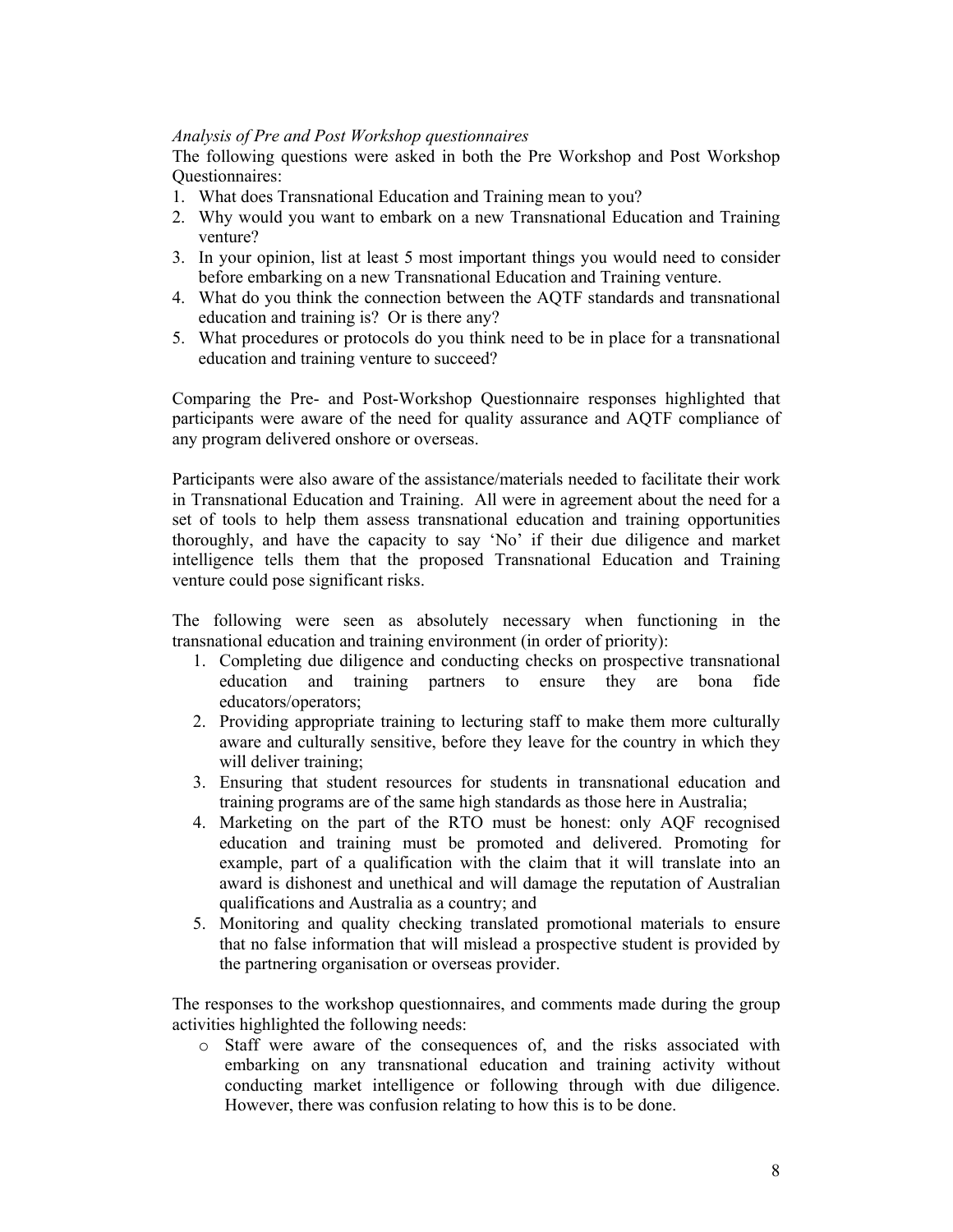# *Analysis of Pre and Post Workshop questionnaires*

The following questions were asked in both the Pre Workshop and Post Workshop Questionnaires:

- 1. What does Transnational Education and Training mean to you?
- 2. Why would you want to embark on a new Transnational Education and Training venture?
- 3. In your opinion, list at least 5 most important things you would need to consider before embarking on a new Transnational Education and Training venture.
- 4. What do you think the connection between the AQTF standards and transnational education and training is? Or is there any?
- 5. What procedures or protocols do you think need to be in place for a transnational education and training venture to succeed?

Comparing the Pre- and Post-Workshop Questionnaire responses highlighted that participants were aware of the need for quality assurance and AQTF compliance of any program delivered onshore or overseas.

Participants were also aware of the assistance/materials needed to facilitate their work in Transnational Education and Training. All were in agreement about the need for a set of tools to help them assess transnational education and training opportunities thoroughly, and have the capacity to say 'No' if their due diligence and market intelligence tells them that the proposed Transnational Education and Training venture could pose significant risks.

The following were seen as absolutely necessary when functioning in the transnational education and training environment (in order of priority):

- 1. Completing due diligence and conducting checks on prospective transnational education and training partners to ensure they are bona fide educators/operators;
- 2. Providing appropriate training to lecturing staff to make them more culturally aware and culturally sensitive, before they leave for the country in which they will deliver training;
- 3. Ensuring that student resources for students in transnational education and training programs are of the same high standards as those here in Australia;
- 4. Marketing on the part of the RTO must be honest: only AQF recognised education and training must be promoted and delivered. Promoting for example, part of a qualification with the claim that it will translate into an award is dishonest and unethical and will damage the reputation of Australian qualifications and Australia as a country; and
- 5. Monitoring and quality checking translated promotional materials to ensure that no false information that will mislead a prospective student is provided by the partnering organisation or overseas provider.

The responses to the workshop questionnaires, and comments made during the group activities highlighted the following needs:

o Staff were aware of the consequences of, and the risks associated with embarking on any transnational education and training activity without conducting market intelligence or following through with due diligence. However, there was confusion relating to how this is to be done.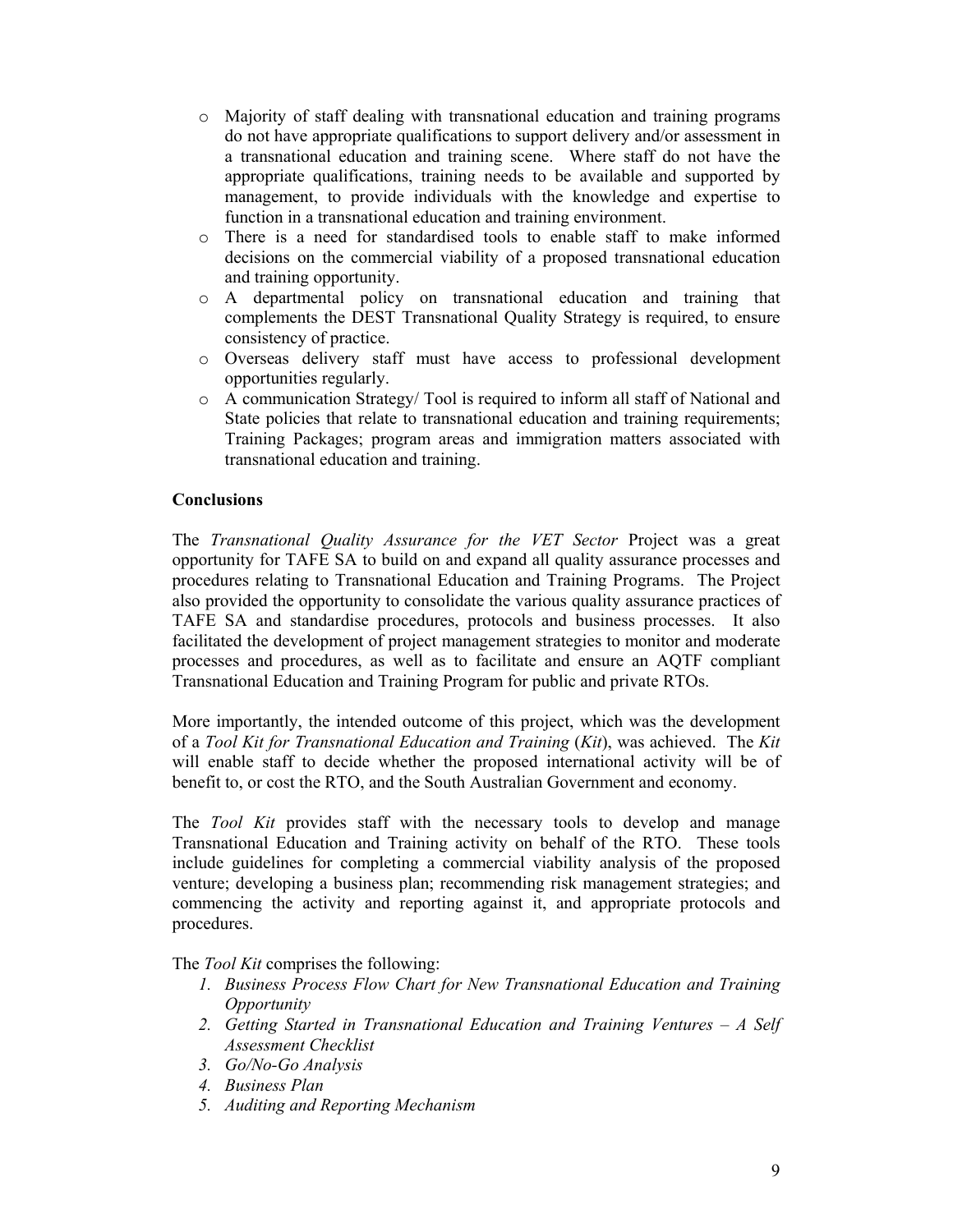- o Majority of staff dealing with transnational education and training programs do not have appropriate qualifications to support delivery and/or assessment in a transnational education and training scene. Where staff do not have the appropriate qualifications, training needs to be available and supported by management, to provide individuals with the knowledge and expertise to function in a transnational education and training environment.
- o There is a need for standardised tools to enable staff to make informed decisions on the commercial viability of a proposed transnational education and training opportunity.
- o A departmental policy on transnational education and training that complements the DEST Transnational Quality Strategy is required, to ensure consistency of practice.
- o Overseas delivery staff must have access to professional development opportunities regularly.
- o A communication Strategy/ Tool is required to inform all staff of National and State policies that relate to transnational education and training requirements; Training Packages; program areas and immigration matters associated with transnational education and training.

# **Conclusions**

The *Transnational Quality Assurance for the VET Sector* Project was a great opportunity for TAFE SA to build on and expand all quality assurance processes and procedures relating to Transnational Education and Training Programs. The Project also provided the opportunity to consolidate the various quality assurance practices of TAFE SA and standardise procedures, protocols and business processes. It also facilitated the development of project management strategies to monitor and moderate processes and procedures, as well as to facilitate and ensure an AQTF compliant Transnational Education and Training Program for public and private RTOs.

More importantly, the intended outcome of this project, which was the development of a *Tool Kit for Transnational Education and Training* (*Kit*), was achieved. The *Kit* will enable staff to decide whether the proposed international activity will be of benefit to, or cost the RTO, and the South Australian Government and economy.

The *Tool Kit* provides staff with the necessary tools to develop and manage Transnational Education and Training activity on behalf of the RTO. These tools include guidelines for completing a commercial viability analysis of the proposed venture; developing a business plan; recommending risk management strategies; and commencing the activity and reporting against it, and appropriate protocols and procedures.

The *Tool Kit* comprises the following:

- *1. Business Process Flow Chart for New Transnational Education and Training Opportunity*
- *2. Getting Started in Transnational Education and Training Ventures A Self Assessment Checklist*
- *3. Go/No-Go Analysis*
- *4. Business Plan*
- *5. Auditing and Reporting Mechanism*